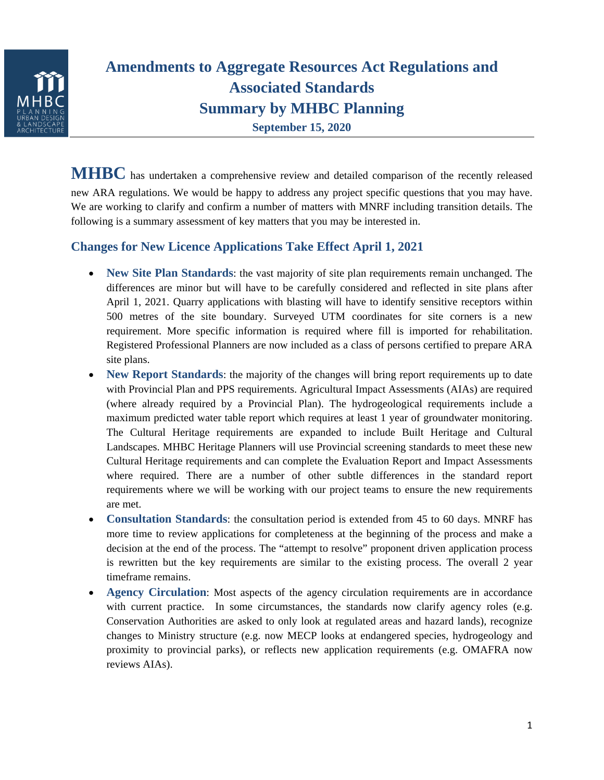

# **Amendments to Aggregate Resources Act Regulations and Associated Standards Summary by MHBC Planning September 15, 2020**

**MHBC** has undertaken a comprehensive review and detailed comparison of the recently released new ARA regulations. We would be happy to address any project specific questions that you may have. We are working to clarify and confirm a number of matters with MNRF including transition details. The following is a summary assessment of key matters that you may be interested in.

## **Changes for New Licence Applications Take Effect April 1, 2021**

- **New Site Plan Standards**: the vast majority of site plan requirements remain unchanged. The differences are minor but will have to be carefully considered and reflected in site plans after April 1, 2021. Quarry applications with blasting will have to identify sensitive receptors within 500 metres of the site boundary. Surveyed UTM coordinates for site corners is a new requirement. More specific information is required where fill is imported for rehabilitation. Registered Professional Planners are now included as a class of persons certified to prepare ARA site plans.
- New Report Standards: the majority of the changes will bring report requirements up to date with Provincial Plan and PPS requirements. Agricultural Impact Assessments (AIAs) are required (where already required by a Provincial Plan). The hydrogeological requirements include a maximum predicted water table report which requires at least 1 year of groundwater monitoring. The Cultural Heritage requirements are expanded to include Built Heritage and Cultural Landscapes. MHBC Heritage Planners will use Provincial screening standards to meet these new Cultural Heritage requirements and can complete the Evaluation Report and Impact Assessments where required. There are a number of other subtle differences in the standard report requirements where we will be working with our project teams to ensure the new requirements are met.
- **Consultation Standards**: the consultation period is extended from 45 to 60 days. MNRF has more time to review applications for completeness at the beginning of the process and make a decision at the end of the process. The "attempt to resolve" proponent driven application process is rewritten but the key requirements are similar to the existing process. The overall 2 year timeframe remains.
- **Agency Circulation**: Most aspects of the agency circulation requirements are in accordance with current practice. In some circumstances, the standards now clarify agency roles (e.g. Conservation Authorities are asked to only look at regulated areas and hazard lands), recognize changes to Ministry structure (e.g. now MECP looks at endangered species, hydrogeology and proximity to provincial parks), or reflects new application requirements (e.g. OMAFRA now reviews AIAs).